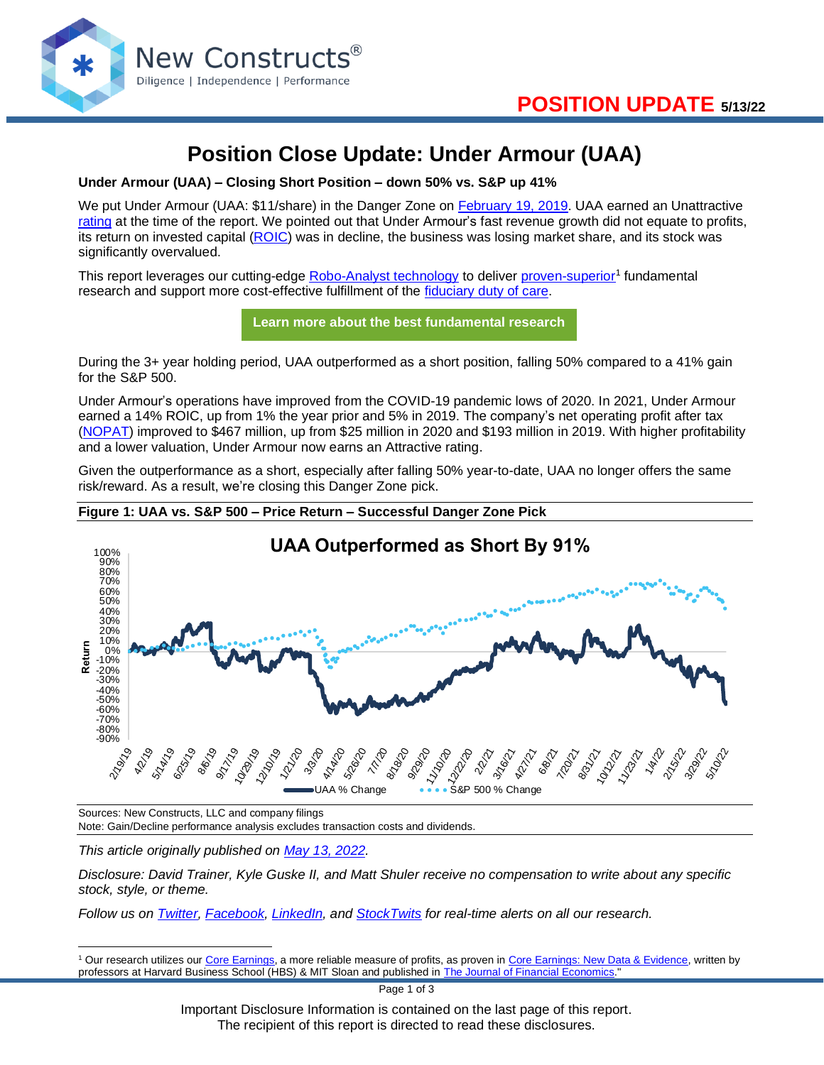

# **Position Close Update: Under Armour (UAA)**

**Under Armour (UAA) – Closing Short Position – down 50% vs. S&P up 41%**

We put Under Armour (UAA: \$11/share) in the Danger Zone on [February 19, 2019.](https://www.newconstructs.com/using-roic-to-find-dangerous-stocks-in-a-volatile-market/) UAA earned an Unattractive [rating](https://www.newconstructs.com/stock-rating-methodology/) at the time of the report. We pointed out that Under Armour's fast revenue growth did not equate to profits, its return on invested capital [\(ROIC\)](https://www.newconstructs.com/education-return-on-invested-capital/) was in decline, the business was losing market share, and its stock was significantly overvalued.

This report leverages our cutting-edge **Robo-Analyst technology** to deliver [proven-superior](https://www.newconstructs.com/proof-of-the-superiority-of-our-data-models-ratings/)<sup>1</sup> fundamental research and support more cost-effective fulfillment of the [fiduciary duty of care.](https://www.newconstructs.com/even-without-the-law-fiduciary-rule-awareness-remains/)

**[Learn more about the best fundamental research](https://www.newconstructs.com/email-sign-up-best-fundamental-research/)**

During the 3+ year holding period, UAA outperformed as a short position, falling 50% compared to a 41% gain for the S&P 500.

Under Armour's operations have improved from the COVID-19 pandemic lows of 2020. In 2021, Under Armour earned a 14% ROIC, up from 1% the year prior and 5% in 2019. The company's net operating profit after tax [\(NOPAT\)](https://www.newconstructs.com/education-net-operating-profit/) improved to \$467 million, up from \$25 million in 2020 and \$193 million in 2019. With higher profitability and a lower valuation, Under Armour now earns an Attractive rating.

Given the outperformance as a short, especially after falling 50% year-to-date, UAA no longer offers the same risk/reward. As a result, we're closing this Danger Zone pick.





Sources: New Constructs, LLC and company filings Note: Gain/Decline performance analysis excludes transaction costs and dividends.

*This article originally published on [May 13, 2022.](https://www.newconstructs.com/position-close-update-under-armour-uaa/)*

*Disclosure: David Trainer, Kyle Guske II, and Matt Shuler receive no compensation to write about any specific stock, style, or theme.*

*Follow us on [Twitter,](https://twitter.com/NewConstructs) [Facebook,](https://www.facebook.com/newconstructsllc/) [LinkedIn,](https://www.linkedin.com/company/new-constructs) and [StockTwits](https://stocktwits.com/dtrainer_NewConstructs) for real-time alerts on all our research.* 

<sup>&</sup>lt;sup>1</sup> Our research utilizes our [Core Earnings,](https://www.newconstructs.com/education-core-earnings-earnings-distortion/) a more reliable measure of profits, as proven in [Core Earnings: New Data & Evidence,](https://www.newconstructs.com/its-official-we-offer-the-best-fundamental-data-in-the-world/) written by professors at Harvard Business School (HBS) & MIT Sloan and published in **The Journal of Financial Economics**."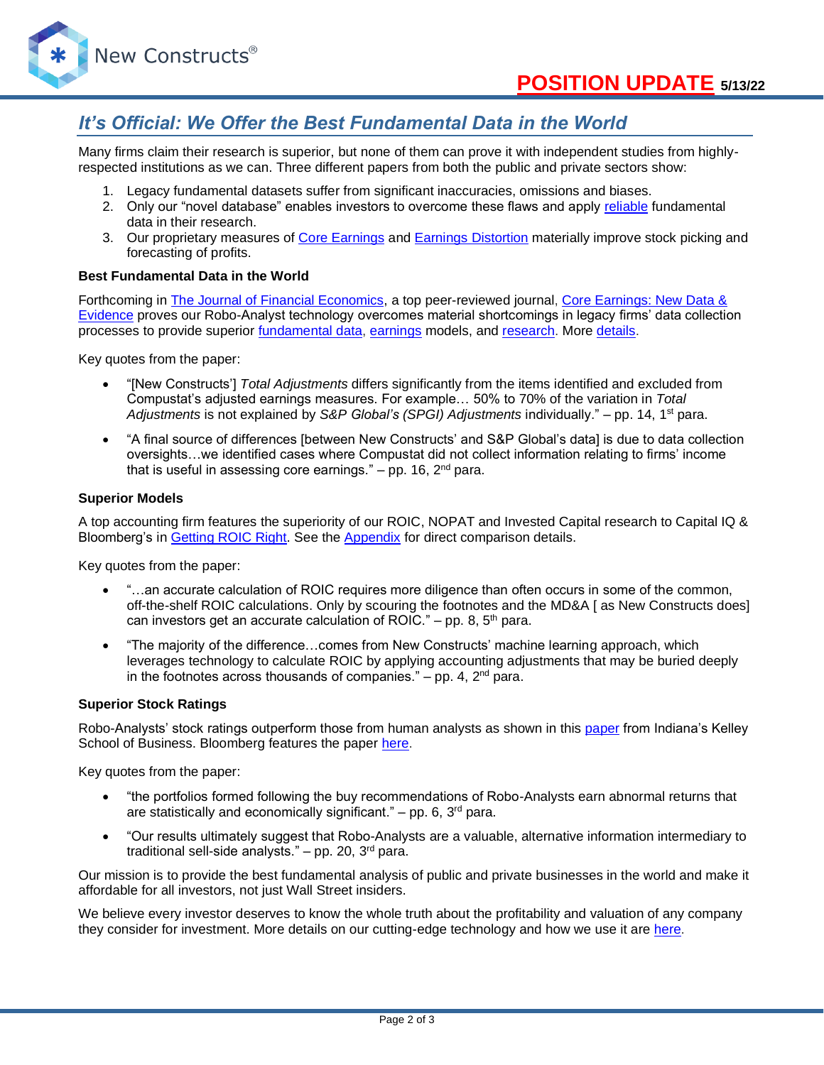

### *It's Official: We Offer the Best Fundamental Data in the World*

Many firms claim their research is superior, but none of them can prove it with independent studies from highlyrespected institutions as we can. Three different papers from both the public and private sectors show:

- 1. Legacy fundamental datasets suffer from significant inaccuracies, omissions and biases.
- 2. Only our "novel database" enables investors to overcome these flaws and apply [reliable](https://www.newconstructs.com/evidence-on-the-superiority-of-our-earnings-data/) fundamental data in their research.
- 3. Our proprietary measures of [Core Earnings](https://www.newconstructs.com/education-core-earnings-earnings-distortion/) and [Earnings Distortion](https://www.newconstructs.com/earnings-distortion-score-methodology/) materially improve stock picking and forecasting of profits.

#### **Best Fundamental Data in the World**

Forthcoming in [The Journal of Financial Economics,](http://jfe.rochester.edu/) a top peer-reviewed journal, [Core Earnings: New Data &](https://papers.ssrn.com/sol3/papers.cfm?abstract_id=3467814)  [Evidence](https://papers.ssrn.com/sol3/papers.cfm?abstract_id=3467814) proves our Robo-Analyst technology overcomes material shortcomings in legacy firms' data collection processes to provide superior [fundamental data,](https://www.newconstructs.com/data/) [earnings](https://www.newconstructs.com/education-core-earnings-earnings-distortion/) models, and [research.](https://www.newconstructs.com/blog/) More [details.](https://www.newconstructs.com/evidence-on-the-superiority-of-our-earnings-data/)

Key quotes from the paper:

- "[New Constructs'] *Total Adjustments* differs significantly from the items identified and excluded from Compustat's adjusted earnings measures. For example… 50% to 70% of the variation in *Total Adjustments* is not explained by *S&P Global's (SPGI) Adjustments* individually." – pp. 14, 1st para.
- "A final source of differences [between New Constructs' and S&P Global's data] is due to data collection oversights…we identified cases where Compustat did not collect information relating to firms' income that is useful in assessing core earnings."  $-$  pp. 16,  $2<sup>nd</sup>$  para.

#### **Superior Models**

A top accounting firm features the superiority of our ROIC, NOPAT and Invested Capital research to Capital IQ & Bloomberg's in [Getting](https://www.newconstructs.com/getting-roic-right/) ROIC Right. See the [Appendix](https://www.newconstructs.com/wp-content/uploads/2019/06/Getting-ROIC-Right.pdf) for direct comparison details.

Key quotes from the paper:

- "...an accurate calculation of ROIC requires more diligence than often occurs in some of the common, off-the-shelf ROIC calculations. Only by scouring the footnotes and the MD&A [ as New Constructs does] can investors get an accurate calculation of ROIC." – pp. 8,  $5<sup>th</sup>$  para.
- "The majority of the difference…comes from New Constructs' machine learning approach, which leverages technology to calculate ROIC by applying accounting adjustments that may be buried deeply in the footnotes across thousands of companies."  $-$  pp. 4,  $2<sup>nd</sup>$  para.

#### **Superior Stock Ratings**

Robo-Analysts' stock ratings outperform those from human analysts as shown in this [paper](https://papers.ssrn.com/sol3/papers.cfm?abstract_id=3514879) from Indiana's Kelley School of Business. Bloomberg features the paper [here.](https://www.bloomberg.com/news/articles/2020-02-11/robot-analysts-outwit-humans-in-study-of-profit-from-stock-calls?sref=zw7RLDfe)

Key quotes from the paper:

- "the portfolios formed following the buy recommendations of Robo-Analysts earn abnormal returns that are statistically and economically significant." – pp. 6,  $3<sup>rd</sup>$  para.
- "Our results ultimately suggest that Robo-Analysts are a valuable, alternative information intermediary to traditional sell-side analysts."  $-$  pp. 20, 3<sup>rd</sup> para.

Our mission is to provide the best fundamental analysis of public and private businesses in the world and make it affordable for all investors, not just Wall Street insiders.

We believe every investor deserves to know the whole truth about the profitability and valuation of any company they consider for investment. More details on our cutting-edge technology and how we use it are [here.](https://www.youtube.com/watch?v=wRUr5w4zDVA)